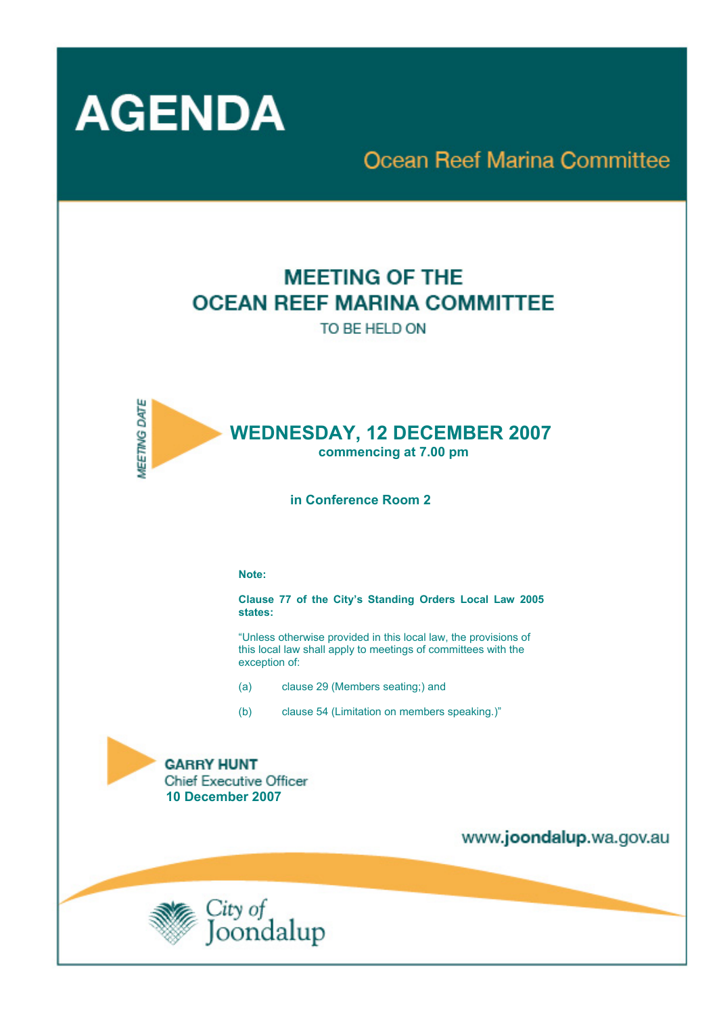

# **Ocean Reef Marina Committee**

# **MEETING OF THE OCEAN REEF MARINA COMMITTEE**

TO BE HELD ON



 **in Conference Room 2** 

#### **Note:**

**Clause 77 of the City's Standing Orders Local Law 2005 states:** 

"Unless otherwise provided in this local law, the provisions of this local law shall apply to meetings of committees with the exception of:

- (a) clause 29 (Members seating;) and
- (b) clause 54 (Limitation on members speaking.)"



www.joondalup.wa.gov.au

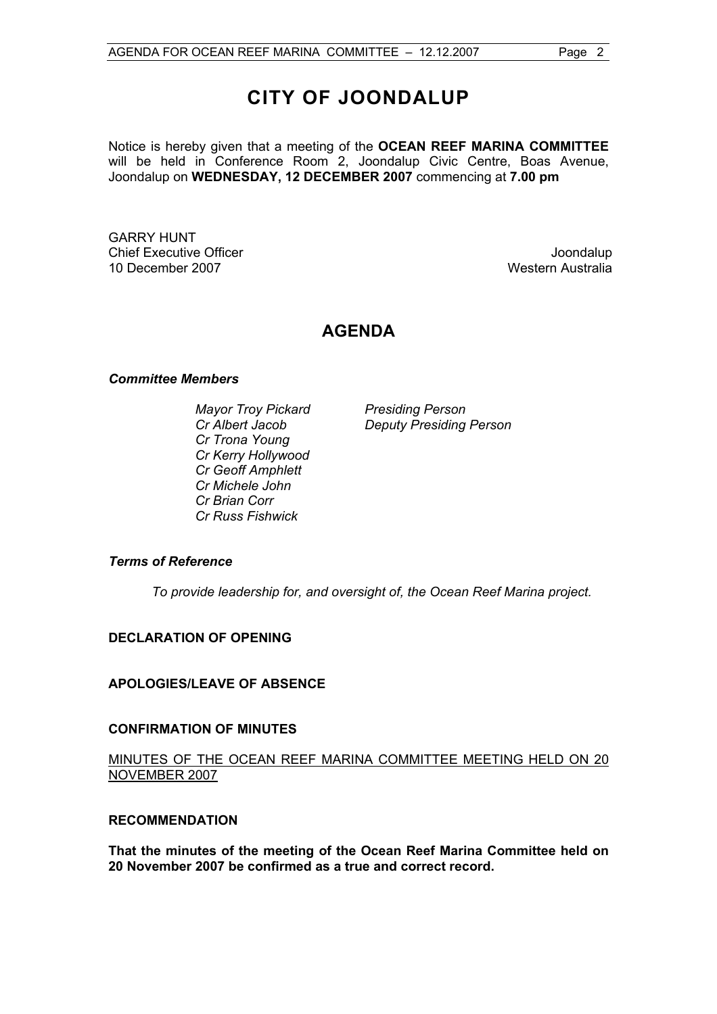## **CITY OF JOONDALUP**

Notice is hereby given that a meeting of the **OCEAN REEF MARINA COMMITTEE**  will be held in Conference Room 2, Joondalup Civic Centre, Boas Avenue, Joondalup on **WEDNESDAY, 12 DECEMBER 2007** commencing at **7.00 pm** 

GARRY HUNT Chief Executive Officer **Joondalup** 10 December 2007 Western Australia

### **AGENDA**

#### *Committee Members*

**Mayor Troy Pickard Presiding Person** *Cr Trona Young Cr Kerry Hollywood Cr Geoff Amphlett Cr Michele John Cr Brian Corr Cr Russ Fishwick* 

*Cr Albert Jacob Deputy Presiding Person* 

#### *Terms of Reference*

*To provide leadership for, and oversight of, the Ocean Reef Marina project.*

#### **DECLARATION OF OPENING**

#### **APOLOGIES/LEAVE OF ABSENCE**

#### **CONFIRMATION OF MINUTES**

#### MINUTES OF THE OCEAN REEF MARINA COMMITTEE MEETING HELD ON 20 NOVEMBER 2007

#### **RECOMMENDATION**

**That the minutes of the meeting of the Ocean Reef Marina Committee held on 20 November 2007 be confirmed as a true and correct record.**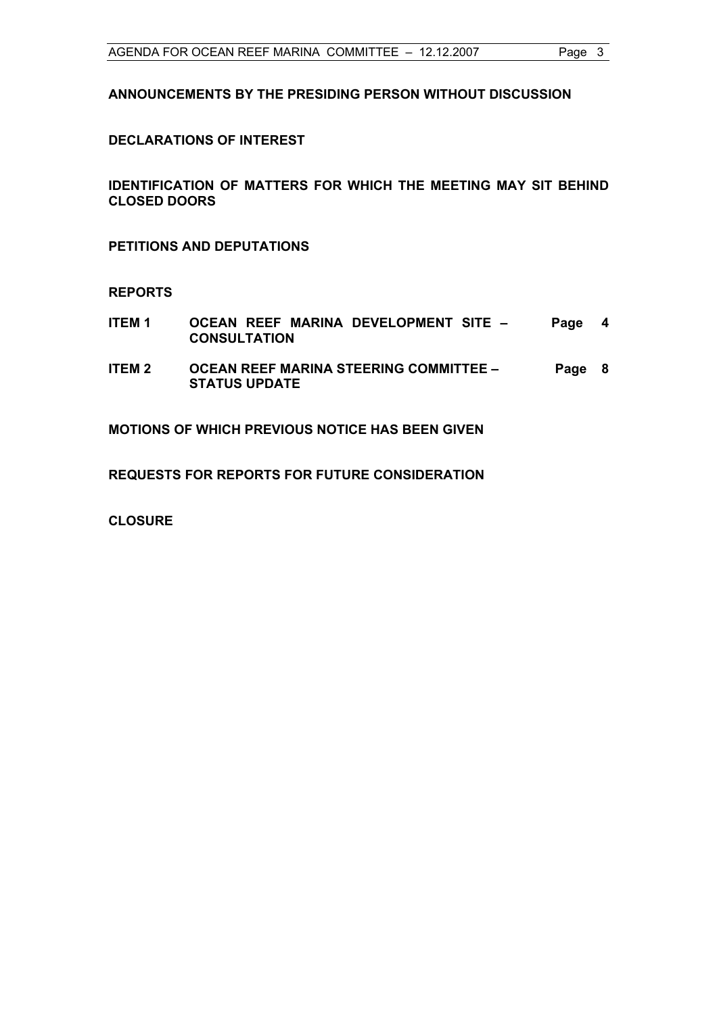**ANNOUNCEMENTS BY THE PRESIDING PERSON WITHOUT DISCUSSION** 

#### **DECLARATIONS OF INTEREST**

**IDENTIFICATION OF MATTERS FOR WHICH THE MEETING MAY SIT BEHIND CLOSED DOORS** 

**PETITIONS AND DEPUTATIONS** 

#### **REPORTS**

- **ITEM 1 OCEAN REEF MARINA DEVELOPMENT SITE CONSULTATION Page 4**
- **ITEM 2 OCEAN REEF MARINA STEERING COMMITTEE STATUS UPDATE Page 8**

**MOTIONS OF WHICH PREVIOUS NOTICE HAS BEEN GIVEN** 

**REQUESTS FOR REPORTS FOR FUTURE CONSIDERATION** 

**CLOSURE**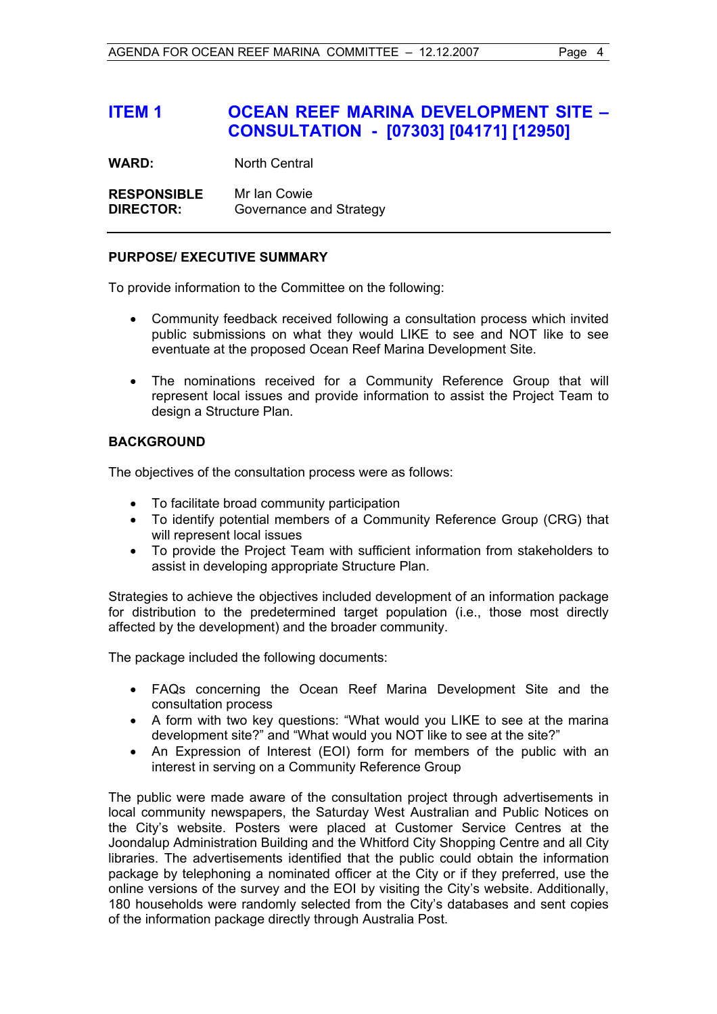## **ITEM 1 OCEAN REEF MARINA DEVELOPMENT SITE – CONSULTATION - [07303] [04171] [12950]**

**WARD:** North Central

**RESPONSIBLE** Mr Ian Cowie **DIRECTOR:** Governance and Strategy

#### **PURPOSE/ EXECUTIVE SUMMARY**

To provide information to the Committee on the following:

- Community feedback received following a consultation process which invited public submissions on what they would LIKE to see and NOT like to see eventuate at the proposed Ocean Reef Marina Development Site.
- The nominations received for a Community Reference Group that will represent local issues and provide information to assist the Project Team to design a Structure Plan.

#### **BACKGROUND**

The objectives of the consultation process were as follows:

- To facilitate broad community participation
- To identify potential members of a Community Reference Group (CRG) that will represent local issues
- To provide the Project Team with sufficient information from stakeholders to assist in developing appropriate Structure Plan.

Strategies to achieve the objectives included development of an information package for distribution to the predetermined target population (i.e., those most directly affected by the development) and the broader community.

The package included the following documents:

- FAQs concerning the Ocean Reef Marina Development Site and the consultation process
- A form with two key questions: "What would you LIKE to see at the marina development site?" and "What would you NOT like to see at the site?"
- An Expression of Interest (EOI) form for members of the public with an interest in serving on a Community Reference Group

The public were made aware of the consultation project through advertisements in local community newspapers, the Saturday West Australian and Public Notices on the City's website. Posters were placed at Customer Service Centres at the Joondalup Administration Building and the Whitford City Shopping Centre and all City libraries. The advertisements identified that the public could obtain the information package by telephoning a nominated officer at the City or if they preferred, use the online versions of the survey and the EOI by visiting the City's website. Additionally, 180 households were randomly selected from the City's databases and sent copies of the information package directly through Australia Post.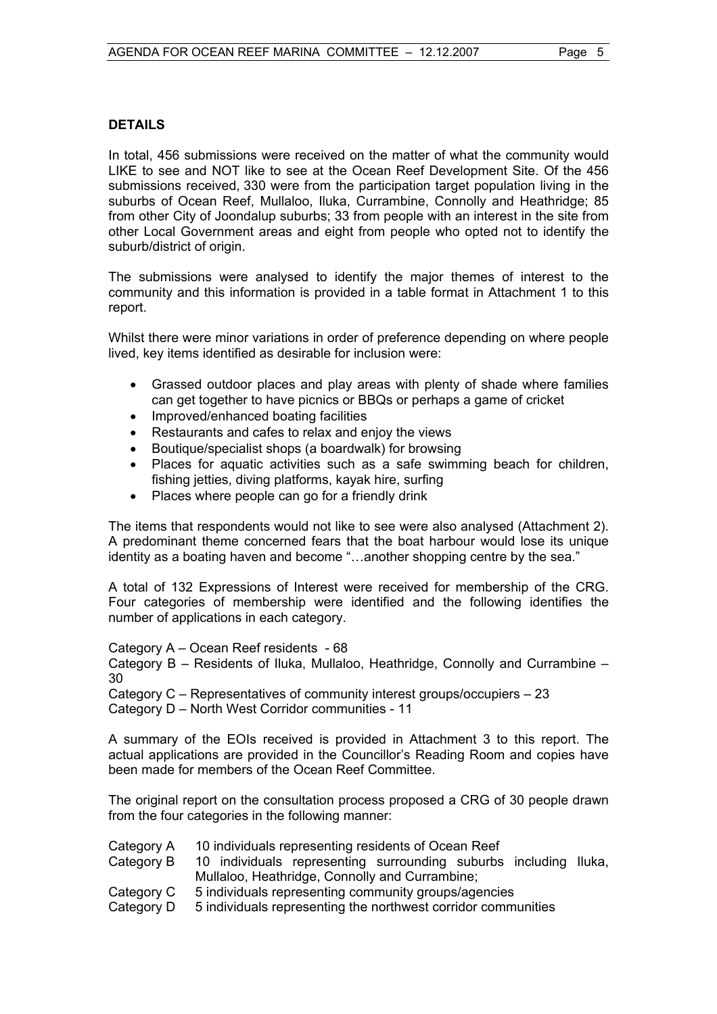#### **DETAILS**

In total, 456 submissions were received on the matter of what the community would LIKE to see and NOT like to see at the Ocean Reef Development Site. Of the 456 submissions received, 330 were from the participation target population living in the suburbs of Ocean Reef, Mullaloo, Iluka, Currambine, Connolly and Heathridge; 85 from other City of Joondalup suburbs; 33 from people with an interest in the site from other Local Government areas and eight from people who opted not to identify the suburb/district of origin.

The submissions were analysed to identify the major themes of interest to the community and this information is provided in a table format in Attachment 1 to this report.

Whilst there were minor variations in order of preference depending on where people lived, key items identified as desirable for inclusion were:

- Grassed outdoor places and play areas with plenty of shade where families can get together to have picnics or BBQs or perhaps a game of cricket
- Improved/enhanced boating facilities
- Restaurants and cafes to relax and enjoy the views
- Boutique/specialist shops (a boardwalk) for browsing
- Places for aquatic activities such as a safe swimming beach for children, fishing jetties, diving platforms, kayak hire, surfing
- Places where people can go for a friendly drink

The items that respondents would not like to see were also analysed (Attachment 2). A predominant theme concerned fears that the boat harbour would lose its unique identity as a boating haven and become "…another shopping centre by the sea."

A total of 132 Expressions of Interest were received for membership of the CRG. Four categories of membership were identified and the following identifies the number of applications in each category.

Category A – Ocean Reef residents - 68

Category B – Residents of Iluka, Mullaloo, Heathridge, Connolly and Currambine – 30

Category C – Representatives of community interest groups/occupiers – 23

Category D – North West Corridor communities - 11

A summary of the EOIs received is provided in Attachment 3 to this report. The actual applications are provided in the Councillor's Reading Room and copies have been made for members of the Ocean Reef Committee.

The original report on the consultation process proposed a CRG of 30 people drawn from the four categories in the following manner:

- Category A 10 individuals representing residents of Ocean Reef
- Category B 10 individuals representing surrounding suburbs including Iluka, Mullaloo, Heathridge, Connolly and Currambine;
- Category C 5 individuals representing community groups/agencies
- Category D 5 individuals representing the northwest corridor communities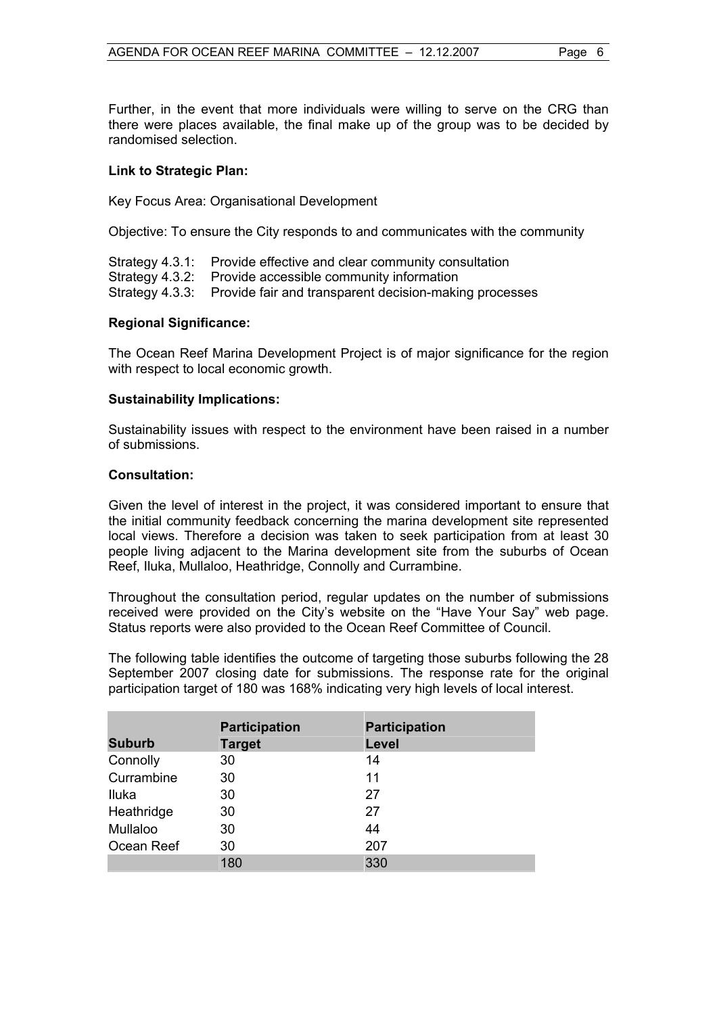Further, in the event that more individuals were willing to serve on the CRG than there were places available, the final make up of the group was to be decided by randomised selection.

#### **Link to Strategic Plan:**

Key Focus Area: Organisational Development

Objective: To ensure the City responds to and communicates with the community

Strategy 4.3.1: Provide effective and clear community consultation Strategy 4.3.2: Provide accessible community information Strategy 4.3.3: Provide fair and transparent decision-making processes

#### **Regional Significance:**

The Ocean Reef Marina Development Project is of major significance for the region with respect to local economic growth.

#### **Sustainability Implications:**

Sustainability issues with respect to the environment have been raised in a number of submissions.

#### **Consultation:**

Given the level of interest in the project, it was considered important to ensure that the initial community feedback concerning the marina development site represented local views. Therefore a decision was taken to seek participation from at least 30 people living adjacent to the Marina development site from the suburbs of Ocean Reef, Iluka, Mullaloo, Heathridge, Connolly and Currambine.

Throughout the consultation period, regular updates on the number of submissions received were provided on the City's website on the "Have Your Say" web page. Status reports were also provided to the Ocean Reef Committee of Council.

The following table identifies the outcome of targeting those suburbs following the 28 September 2007 closing date for submissions. The response rate for the original participation target of 180 was 168% indicating very high levels of local interest.

|               | <b>Participation</b> | <b>Participation</b> |
|---------------|----------------------|----------------------|
| <b>Suburb</b> | <b>Target</b>        | Level                |
| Connolly      | 30                   | 14                   |
| Currambine    | 30                   | 11                   |
| Iluka         | 30                   | 27                   |
| Heathridge    | 30                   | 27                   |
| Mullaloo      | 30                   | 44                   |
| Ocean Reef    | 30                   | 207                  |
|               | 180                  | 330                  |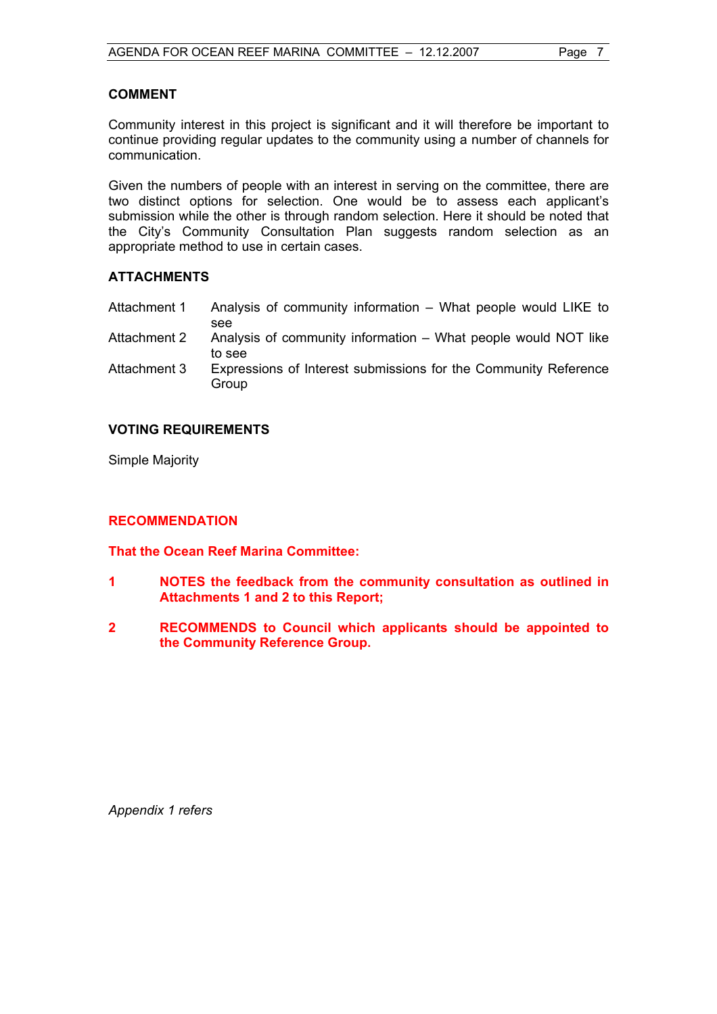#### **COMMENT**

Community interest in this project is significant and it will therefore be important to continue providing regular updates to the community using a number of channels for communication.

Given the numbers of people with an interest in serving on the committee, there are two distinct options for selection. One would be to assess each applicant's submission while the other is through random selection. Here it should be noted that the City's Community Consultation Plan suggests random selection as an appropriate method to use in certain cases.

#### **ATTACHMENTS**

- Attachment 1 Analysis of community information What people would LIKE to see
- Attachment 2 Analysis of community information What people would NOT like to see
- Attachment 3 Expressions of Interest submissions for the Community Reference **Group**

#### **VOTING REQUIREMENTS**

Simple Majority

#### **RECOMMENDATION**

**That the Ocean Reef Marina Committee:** 

- **1 NOTES the feedback from the community consultation as outlined in Attachments 1 and 2 to this Report;**
- **2 RECOMMENDS to Council which applicants should be appointed to the Community Reference Group.**

*Appendix 1 refers*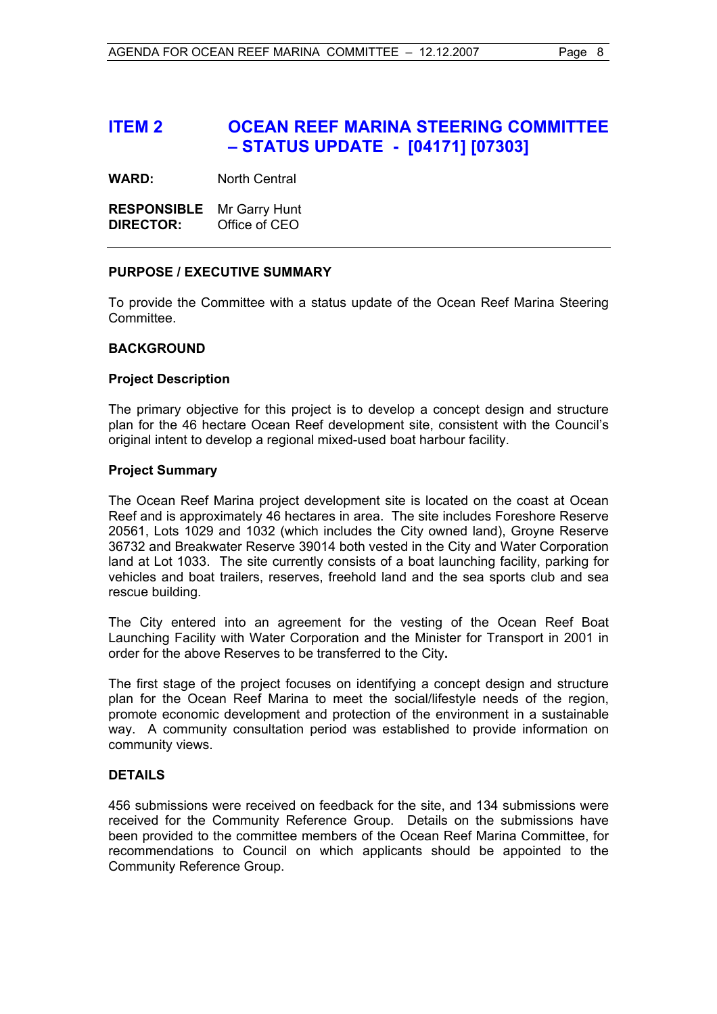### **ITEM 2 OCEAN REEF MARINA STEERING COMMITTEE – STATUS UPDATE - [04171] [07303]**

**WARD:** North Central

**RESPONSIBLE** Mr Garry Hunt **DIRECTOR:** Office of CEO

#### **PURPOSE / EXECUTIVE SUMMARY**

To provide the Committee with a status update of the Ocean Reef Marina Steering Committee.

#### **BACKGROUND**

#### **Project Description**

The primary objective for this project is to develop a concept design and structure plan for the 46 hectare Ocean Reef development site, consistent with the Council's original intent to develop a regional mixed-used boat harbour facility.

#### **Project Summary**

The Ocean Reef Marina project development site is located on the coast at Ocean Reef and is approximately 46 hectares in area. The site includes Foreshore Reserve 20561, Lots 1029 and 1032 (which includes the City owned land), Groyne Reserve 36732 and Breakwater Reserve 39014 both vested in the City and Water Corporation land at Lot 1033. The site currently consists of a boat launching facility, parking for vehicles and boat trailers, reserves, freehold land and the sea sports club and sea rescue building.

The City entered into an agreement for the vesting of the Ocean Reef Boat Launching Facility with Water Corporation and the Minister for Transport in 2001 in order for the above Reserves to be transferred to the City**.** 

The first stage of the project focuses on identifying a concept design and structure plan for the Ocean Reef Marina to meet the social/lifestyle needs of the region, promote economic development and protection of the environment in a sustainable way. A community consultation period was established to provide information on community views.

#### **DETAILS**

456 submissions were received on feedback for the site, and 134 submissions were received for the Community Reference Group. Details on the submissions have been provided to the committee members of the Ocean Reef Marina Committee, for recommendations to Council on which applicants should be appointed to the Community Reference Group.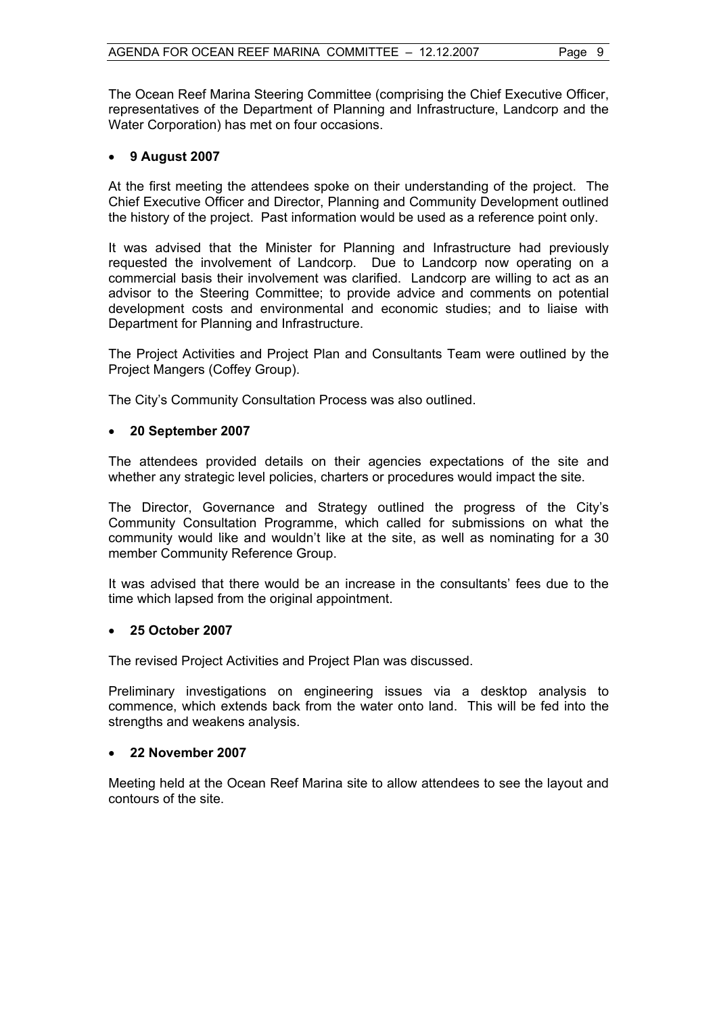The Ocean Reef Marina Steering Committee (comprising the Chief Executive Officer, representatives of the Department of Planning and Infrastructure, Landcorp and the Water Corporation) has met on four occasions.

#### • **9 August 2007**

At the first meeting the attendees spoke on their understanding of the project. The Chief Executive Officer and Director, Planning and Community Development outlined the history of the project. Past information would be used as a reference point only.

It was advised that the Minister for Planning and Infrastructure had previously requested the involvement of Landcorp. Due to Landcorp now operating on a commercial basis their involvement was clarified. Landcorp are willing to act as an advisor to the Steering Committee; to provide advice and comments on potential development costs and environmental and economic studies; and to liaise with Department for Planning and Infrastructure.

The Project Activities and Project Plan and Consultants Team were outlined by the Project Mangers (Coffey Group).

The City's Community Consultation Process was also outlined.

#### • **20 September 2007**

The attendees provided details on their agencies expectations of the site and whether any strategic level policies, charters or procedures would impact the site.

The Director, Governance and Strategy outlined the progress of the City's Community Consultation Programme, which called for submissions on what the community would like and wouldn't like at the site, as well as nominating for a 30 member Community Reference Group.

It was advised that there would be an increase in the consultants' fees due to the time which lapsed from the original appointment.

#### • **25 October 2007**

The revised Project Activities and Project Plan was discussed.

Preliminary investigations on engineering issues via a desktop analysis to commence, which extends back from the water onto land. This will be fed into the strengths and weakens analysis.

#### • **22 November 2007**

Meeting held at the Ocean Reef Marina site to allow attendees to see the layout and contours of the site.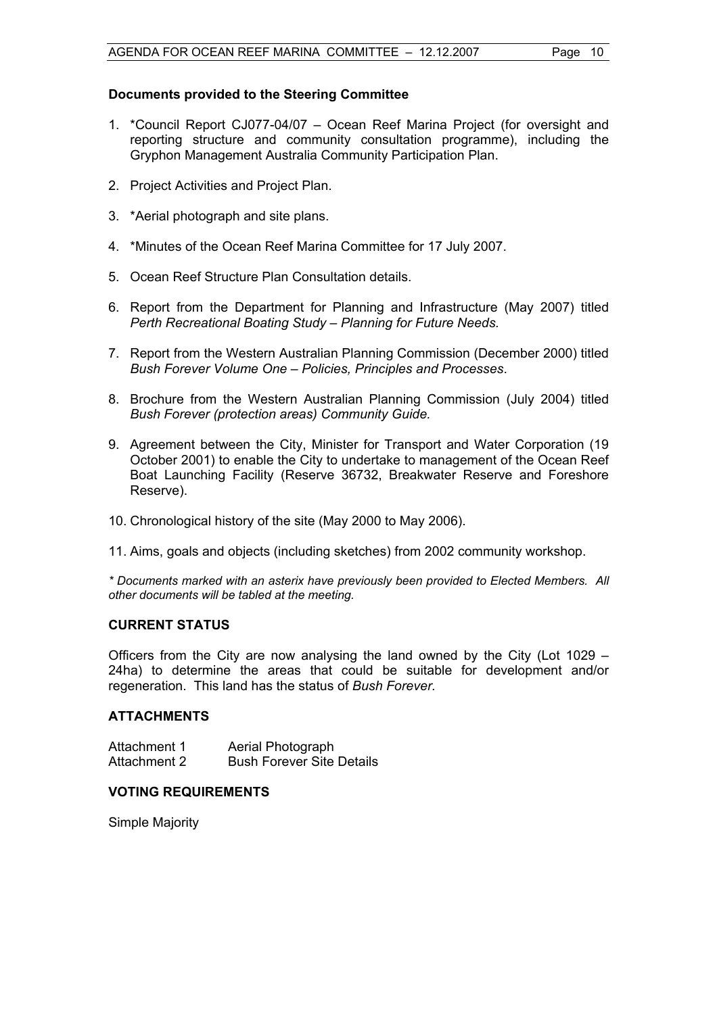#### **Documents provided to the Steering Committee**

- 1. \*Council Report CJ077-04/07 Ocean Reef Marina Project (for oversight and reporting structure and community consultation programme), including the Gryphon Management Australia Community Participation Plan.
- 2. Project Activities and Project Plan.
- 3. \*Aerial photograph and site plans.
- 4. \*Minutes of the Ocean Reef Marina Committee for 17 July 2007.
- 5. Ocean Reef Structure Plan Consultation details.
- 6. Report from the Department for Planning and Infrastructure (May 2007) titled *Perth Recreational Boating Study – Planning for Future Needs.*
- 7. Report from the Western Australian Planning Commission (December 2000) titled *Bush Forever Volume One – Policies, Principles and Processes*.
- 8. Brochure from the Western Australian Planning Commission (July 2004) titled *Bush Forever (protection areas) Community Guide.*
- 9. Agreement between the City, Minister for Transport and Water Corporation (19 October 2001) to enable the City to undertake to management of the Ocean Reef Boat Launching Facility (Reserve 36732, Breakwater Reserve and Foreshore Reserve).
- 10. Chronological history of the site (May 2000 to May 2006).
- 11. Aims, goals and objects (including sketches) from 2002 community workshop.

*\* Documents marked with an asterix have previously been provided to Elected Members. All other documents will be tabled at the meeting.* 

#### **CURRENT STATUS**

Officers from the City are now analysing the land owned by the City (Lot 1029 – 24ha) to determine the areas that could be suitable for development and/or regeneration. This land has the status of *Bush Forever.*

#### **ATTACHMENTS**

| Attachment 1 | Aerial Photograph                |
|--------------|----------------------------------|
| Attachment 2 | <b>Bush Forever Site Details</b> |

#### **VOTING REQUIREMENTS**

Simple Majority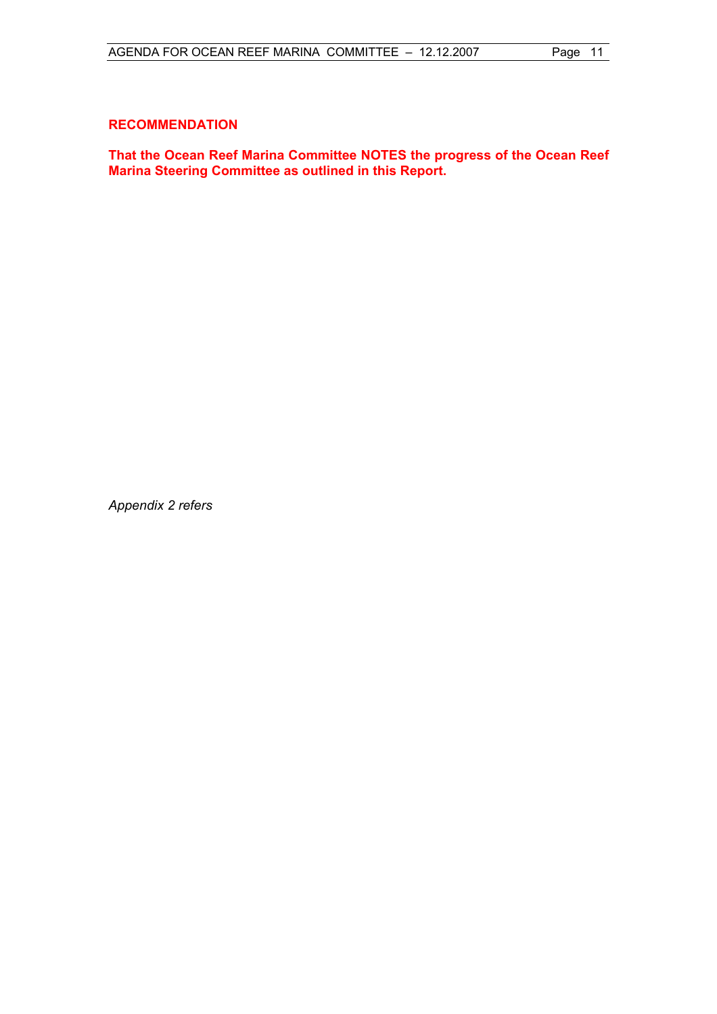#### **RECOMMENDATION**

**That the Ocean Reef Marina Committee NOTES the progress of the Ocean Reef Marina Steering Committee as outlined in this Report.** 

*Appendix 2 refers*